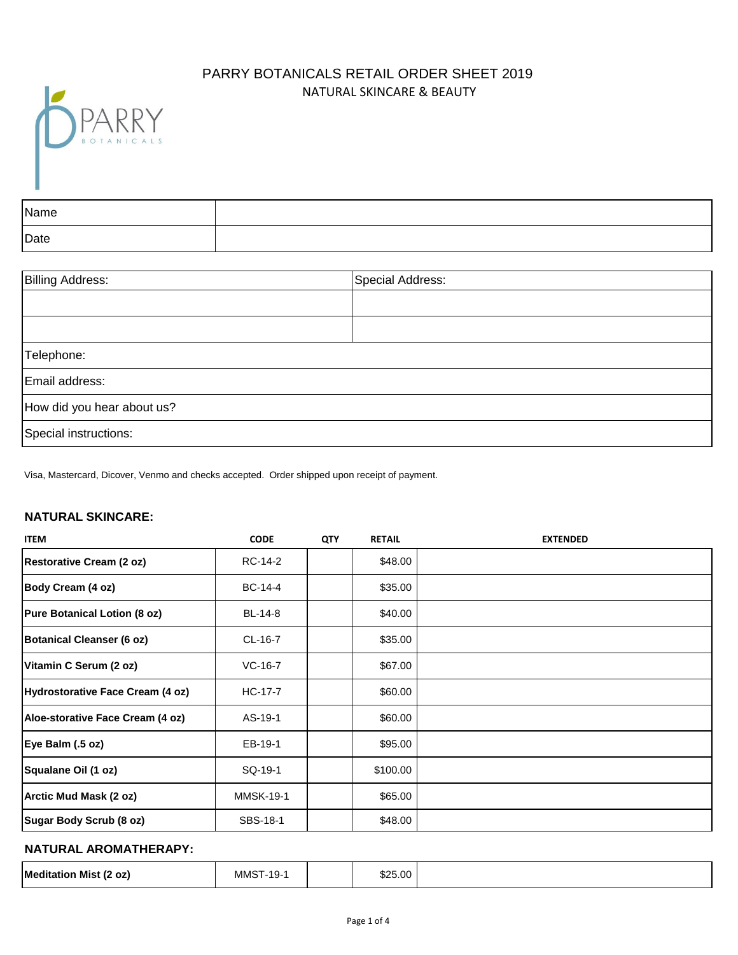# NATURAL SKINCARE & BEAUTY PARRY BOTANICALS RETAIL ORDER SHEET 2019



| Name |  |
|------|--|
| Date |  |

| <b>Billing Address:</b>    | Special Address: |
|----------------------------|------------------|
|                            |                  |
|                            |                  |
| Telephone:                 |                  |
| Email address:             |                  |
| How did you hear about us? |                  |
| Special instructions:      |                  |

Visa, Mastercard, Dicover, Venmo and checks accepted. Order shipped upon receipt of payment.

#### **NATURAL SKINCARE:**

| <b>ITEM</b>                         | <b>CODE</b>      | <b>QTY</b> | <b>RETAIL</b> | <b>EXTENDED</b> |
|-------------------------------------|------------------|------------|---------------|-----------------|
| <b>Restorative Cream (2 oz)</b>     | RC-14-2          |            | \$48.00       |                 |
| Body Cream (4 oz)                   | BC-14-4          |            | \$35.00       |                 |
| <b>Pure Botanical Lotion (8 oz)</b> | BL-14-8          |            | \$40.00       |                 |
| <b>Botanical Cleanser (6 oz)</b>    | CL-16-7          |            | \$35.00       |                 |
| Vitamin C Serum (2 oz)              | $VC-16-7$        |            | \$67.00       |                 |
| Hydrostorative Face Cream (4 oz)    | HC-17-7          |            | \$60.00       |                 |
| Aloe-storative Face Cream (4 oz)    | AS-19-1          |            | \$60.00       |                 |
| Eye Balm (.5 oz)                    | EB-19-1          |            | \$95.00       |                 |
| Squalane Oil (1 oz)                 | SQ-19-1          |            | \$100.00      |                 |
| Arctic Mud Mask (2 oz)              | <b>MMSK-19-1</b> |            | \$65.00       |                 |
| Sugar Body Scrub (8 oz)             | SBS-18-1         |            | \$48.00       |                 |

### **NATURAL AROMATHERAPY:**

| $*25.00$<br>Meditatior<br>$\overline{\phantom{a}}$<br>MMS<br>`oz.<br>. Mis*<br>-19<br>. |
|-----------------------------------------------------------------------------------------|
|-----------------------------------------------------------------------------------------|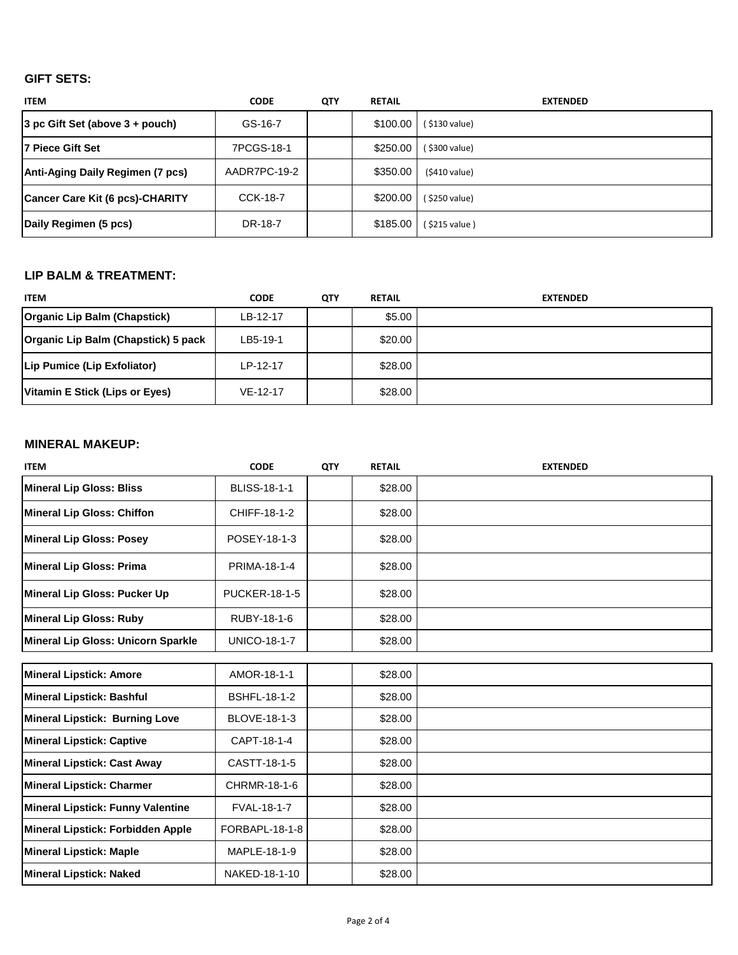## **GIFT SETS:**

| <b>ITEM</b>                            | <b>CODE</b>     | <b>QTY</b> | <b>RETAIL</b> | <b>EXTENDED</b> |
|----------------------------------------|-----------------|------------|---------------|-----------------|
| $ 3$ pc Gift Set (above $3 +$ pouch)   | GS-16-7         |            | $$100.00$     | (\$130 value)   |
| l7 Piece Gift Set                      | 7PCGS-18-1      |            | \$250.00      | (\$300 value)   |
| Anti-Aging Daily Regimen (7 pcs)       | AADR7PC-19-2    |            | \$350.00      | $(5410$ value)  |
| <b>Cancer Care Kit (6 pcs)-CHARITY</b> | <b>CCK-18-7</b> |            | \$200.00      | (\$250 value)   |
| Daily Regimen (5 pcs)                  | DR-18-7         |            | \$185.00      | (\$215 value)   |

### **LIP BALM & TREATMENT:**

| <b>ITEM</b>                         | <b>CODE</b> | QTY | <b>RETAIL</b> | <b>EXTENDED</b> |
|-------------------------------------|-------------|-----|---------------|-----------------|
| Organic Lip Balm (Chapstick)        | LB-12-17    |     | \$5.00        |                 |
| Organic Lip Balm (Chapstick) 5 pack | LB5-19-1    |     | \$20.00       |                 |
| Lip Pumice (Lip Exfoliator)         | LP-12-17    |     | \$28.00       |                 |
| Vitamin E Stick (Lips or Eyes)      | $VE-12-17$  |     | \$28.00       |                 |

### **MINERAL MAKEUP:**

| <b>ITEM</b>                               | <b>CODE</b>          | QTY | <b>RETAIL</b> | <b>EXTENDED</b> |
|-------------------------------------------|----------------------|-----|---------------|-----------------|
| <b>Mineral Lip Gloss: Bliss</b>           | <b>BLISS-18-1-1</b>  |     | \$28.00       |                 |
| <b>Mineral Lip Gloss: Chiffon</b>         | CHIFF-18-1-2         |     | \$28.00       |                 |
| <b>Mineral Lip Gloss: Posey</b>           | POSEY-18-1-3         |     | \$28.00       |                 |
| <b>Mineral Lip Gloss: Prima</b>           | PRIMA-18-1-4         |     | \$28.00       |                 |
| Mineral Lip Gloss: Pucker Up              | <b>PUCKER-18-1-5</b> |     | \$28.00       |                 |
| <b>Mineral Lip Gloss: Ruby</b>            | RUBY-18-1-6          |     | \$28.00       |                 |
| <b>Mineral Lip Gloss: Unicorn Sparkle</b> | <b>UNICO-18-1-7</b>  |     | \$28.00       |                 |
|                                           |                      |     |               |                 |
| <b>Mineral Lipstick: Amore</b>            | AMOR-18-1-1          |     | \$28.00       |                 |
| <b>Mineral Lipstick: Bashful</b>          | <b>BSHFL-18-1-2</b>  |     | \$28.00       |                 |
| <b>Mineral Lipstick: Burning Love</b>     | BLOVE-18-1-3         |     | \$28.00       |                 |
| <b>Mineral Lipstick: Captive</b>          | CAPT-18-1-4          |     | \$28.00       |                 |
| <b>Mineral Lipstick: Cast Away</b>        | CASTT-18-1-5         |     | \$28.00       |                 |
| <b>Mineral Lipstick: Charmer</b>          | CHRMR-18-1-6         |     | \$28.00       |                 |
| <b>Mineral Lipstick: Funny Valentine</b>  | FVAL-18-1-7          |     | \$28.00       |                 |
| Mineral Lipstick: Forbidden Apple         | FORBAPL-18-1-8       |     | \$28.00       |                 |
| <b>Mineral Lipstick: Maple</b>            | MAPLE-18-1-9         |     | \$28.00       |                 |
| <b>Mineral Lipstick: Naked</b>            | NAKED-18-1-10        |     | \$28.00       |                 |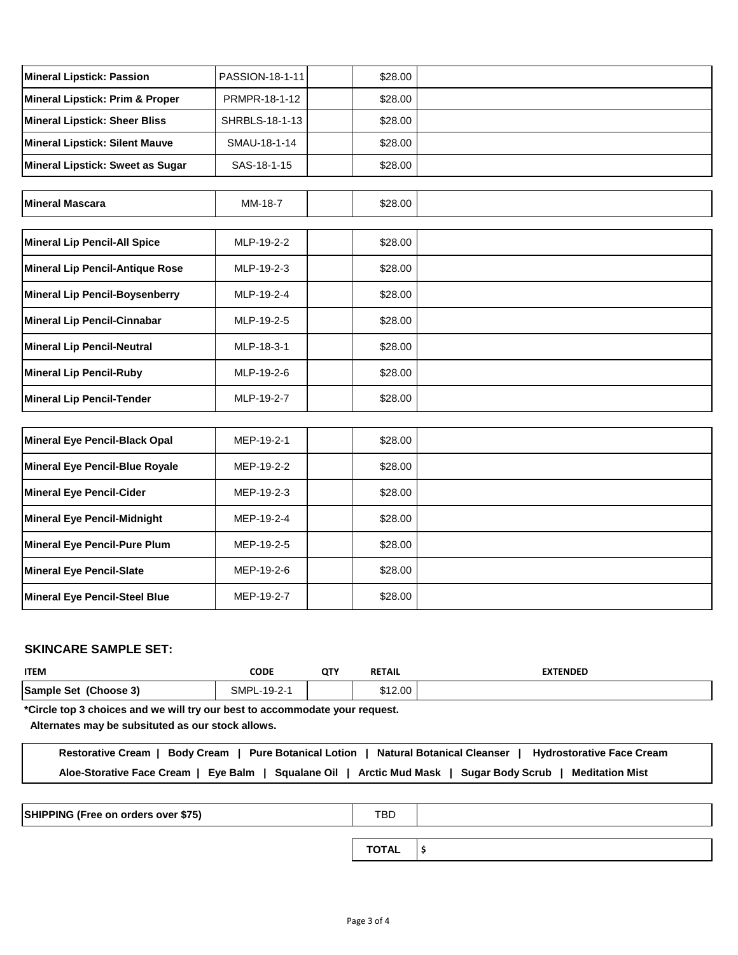| <b>Mineral Lipstick: Passion</b>           | PASSION-18-1-11 | \$28.00 |  |
|--------------------------------------------|-----------------|---------|--|
| <b>Mineral Lipstick: Prim &amp; Proper</b> | PRMPR-18-1-12   | \$28.00 |  |
| <b>Mineral Lipstick: Sheer Bliss</b>       | SHRBLS-18-1-13  | \$28.00 |  |
| <b>Mineral Lipstick: Silent Mauve</b>      | SMAU-18-1-14    | \$28.00 |  |
| Mineral Lipstick: Sweet as Sugar           | SAS-18-1-15     | \$28.00 |  |
|                                            |                 |         |  |
| <b>Mineral Mascara</b>                     | MM-18-7         | \$28.00 |  |
|                                            |                 |         |  |
| <b>Mineral Lip Pencil-All Spice</b>        | MLP-19-2-2      | \$28.00 |  |
| <b>Mineral Lip Pencil-Antique Rose</b>     | MLP-19-2-3      | \$28.00 |  |
| <b>Mineral Lip Pencil-Boysenberry</b>      | MLP-19-2-4      | \$28.00 |  |
| <b>Mineral Lip Pencil-Cinnabar</b>         | MLP-19-2-5      | \$28.00 |  |
| <b>Mineral Lip Pencil-Neutral</b>          | MLP-18-3-1      | \$28.00 |  |
| <b>Mineral Lip Pencil-Ruby</b>             | MLP-19-2-6      | \$28.00 |  |
| <b>Mineral Lip Pencil-Tender</b>           | MLP-19-2-7      | \$28.00 |  |
|                                            |                 |         |  |
| <b>Mineral Eye Pencil-Black Opal</b>       | MEP-19-2-1      | \$28.00 |  |
| Mineral Eye Pencil-Blue Royale             | MEP-19-2-2      | \$28.00 |  |
| <b>Mineral Eye Pencil-Cider</b>            | MEP-19-2-3      | \$28.00 |  |
| <b>Mineral Eye Pencil-Midnight</b>         | MEP-19-2-4      | \$28.00 |  |
| <b>Mineral Eye Pencil-Pure Plum</b>        | MEP-19-2-5      | \$28.00 |  |
| <b>Mineral Eye Pencil-Slate</b>            | MEP-19-2-6      | \$28.00 |  |
| <b>Mineral Eye Pencil-Steel Blue</b>       | MEP-19-2-7      | \$28.00 |  |

### **SKINCARE SAMPLE SET:**

| <b>ITEM</b>           | <b>CODE</b>     | <b>QTY</b> | <b>RETAIL</b> | EXTENDED |
|-----------------------|-----------------|------------|---------------|----------|
| Sample Set (Choose 3) | SMPL<br>-19-2-1 |            | \$12.00       |          |

**\*Circle top 3 choices and we will try our best to accommodate your request.**

 **Alternates may be subsituted as our stock allows.**

| Restorative Cream   Body Cream   Pure Botanical Lotion   Natural Botanical Cleanser   Hydrostorative Face Cream |  |
|-----------------------------------------------------------------------------------------------------------------|--|
| Aloe-Storative Face Cream   Eye Balm   Squalane Oil   Arctic Mud Mask   Sugar Body Scrub   Meditation Mist      |  |

| SHIPPING (Free on orders over \$75) | TBD          |  |
|-------------------------------------|--------------|--|
|                                     | <b>TOTAL</b> |  |